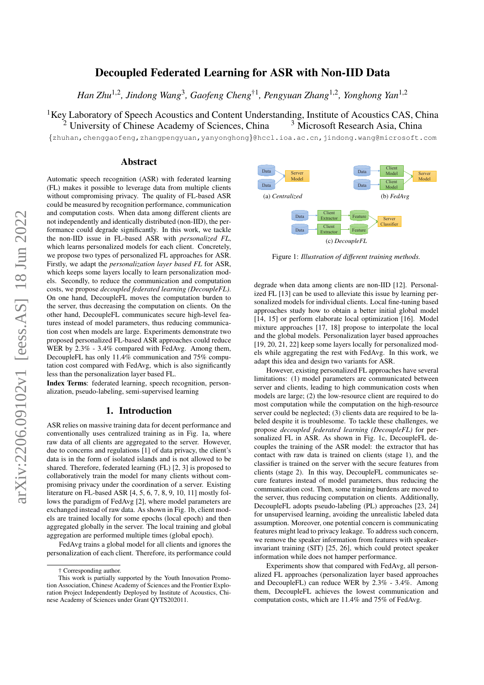# Decoupled Federated Learning for ASR with Non-IID Data

*Han Zhu*1,<sup>2</sup> *, Jindong Wang*<sup>3</sup> *, Gaofeng Cheng*†<sup>1</sup> *, Pengyuan Zhang*1,<sup>2</sup> *, Yonghong Yan*1,<sup>2</sup>

<sup>1</sup>Key Laboratory of Speech Acoustics and Content Understanding, Institute of Acoustics CAS, China<sup>2</sup> University of Chinese Academy of Sciences, China<sup>3</sup> Microsoft Research Asia, China  $2$  University of Chinese Academy of Sciences, China

{zhuhan,chenggaofeng,zhangpengyuan,yanyonghong}@hccl.ioa.ac.cn,jindong.wang@microsoft.com

## Abstract

Automatic speech recognition (ASR) with federated learning (FL) makes it possible to leverage data from multiple clients without compromising privacy. The quality of FL-based ASR could be measured by recognition performance, communication and computation costs. When data among different clients are not independently and identically distributed (non-IID), the performance could degrade significantly. In this work, we tackle the non-IID issue in FL-based ASR with *personalized FL*, which learns personalized models for each client. Concretely, we propose two types of personalized FL approaches for ASR. Firstly, we adapt the *personalization layer based FL* for ASR, which keeps some layers locally to learn personalization models. Secondly, to reduce the communication and computation costs, we propose *decoupled federated learning (DecoupleFL)*. On one hand, DecoupleFL moves the computation burden to the server, thus decreasing the computation on clients. On the other hand, DecoupleFL communicates secure high-level features instead of model parameters, thus reducing communication cost when models are large. Experiments demonstrate two proposed personalized FL-based ASR approaches could reduce WER by  $2.3\%$  -  $3.4\%$  compared with FedAvg. Among them, DecoupleFL has only 11.4% communication and 75% computation cost compared with FedAvg, which is also significantly less than the personalization layer based FL.

Index Terms: federated learning, speech recognition, personalization, pseudo-labeling, semi-supervised learning

### 1. Introduction

ASR relies on massive training data for decent performance and conventionally uses centralized training as in [Fig. 1a,](#page-0-0) where raw data of all clients are aggregated to the server. However, due to concerns and regulations [\[1\]](#page-4-0) of data privacy, the client's data is in the form of isolated islands and is not allowed to be shared. Therefore, federated learning (FL) [\[2,](#page-4-1) [3\]](#page-4-2) is proposed to collaboratively train the model for many clients without compromising privacy under the coordination of a server. Existing literature on FL-based ASR [\[4,](#page-4-3) [5,](#page-4-4) [6,](#page-4-5) [7,](#page-4-6) [8,](#page-4-7) [9,](#page-4-8) [10,](#page-4-9) [11\]](#page-4-10) mostly follows the paradigm of FedAvg [\[2\]](#page-4-1), where model parameters are exchanged instead of raw data. As shown in [Fig. 1b,](#page-0-1) client models are trained locally for some epochs (local epoch) and then aggregated globally in the server. The local training and global aggregation are performed multiple times (global epoch).

FedAvg trains a global model for all clients and ignores the personalization of each client. Therefore, its performance could

<span id="page-0-1"></span><span id="page-0-0"></span>

<span id="page-0-2"></span>Figure 1: *Illustration of different training methods.* 

degrade when data among clients are non-IID [\[12\]](#page-4-11). Personalized FL [\[13\]](#page-4-12) can be used to alleviate this issue by learning personalized models for individual clients. Local fine-tuning based approaches study how to obtain a better initial global model [\[14,](#page-4-13) [15\]](#page-4-14) or perform elaborate local optimization [\[16\]](#page-4-15). Model mixture approaches [\[17,](#page-4-16) [18\]](#page-4-17) propose to interpolate the local and the global models. Personalization layer based approaches [\[19,](#page-4-18) [20,](#page-4-19) [21,](#page-4-20) [22\]](#page-4-21) keep some layers locally for personalized models while aggregating the rest with FedAvg. In this work, we adapt this idea and design two variants for ASR.

However, existing personalized FL approaches have several limitations: (1) model parameters are communicated between server and clients, leading to high communication costs when models are large; (2) the low-resource client are required to do most computation while the computation on the high-resource server could be neglected; (3) clients data are required to be labeled despite it is troublesome. To tackle these challenges, we propose *decoupled federated learning (DecoupleFL)* for personalized FL in ASR. As shown in [Fig. 1c,](#page-0-2) DecoupleFL decouples the training of the ASR model: the extractor that has contact with raw data is trained on clients (stage 1), and the classifier is trained on the server with the secure features from clients (stage 2). In this way, DecoupleFL communicates secure features instead of model parameters, thus reducing the communication cost. Then, some training burdens are moved to the server, thus reducing computation on clients. Additionally, DecoupleFL adopts pseudo-labeling (PL) approaches [\[23,](#page-4-22) [24\]](#page-4-23) for unsupervised learning, avoiding the unrealistic labeled data assumption. Moreover, one potential concern is communicating features might lead to privacy leakage. To address such concern, we remove the speaker information from features with speakerinvariant training (SIT) [\[25,](#page-4-24) [26\]](#page-4-25), which could protect speaker information while does not hamper performance.

Experiments show that compared with FedAvg, all personalized FL approaches (personalization layer based approaches and DecoupleFL) can reduce WER by 2.3% - 3.4%. Among them, DecoupleFL achieves the lowest communication and computation costs, which are 11.4% and 75% of FedAvg.

<sup>†</sup> Corresponding author.

This work is partially supported by the Youth Innovation Promotion Association, Chinese Academy of Sciences and the Frontier Exploration Project Independently Deployed by Institute of Acoustics, Chinese Academy of Sciences under Grant QYTS202011.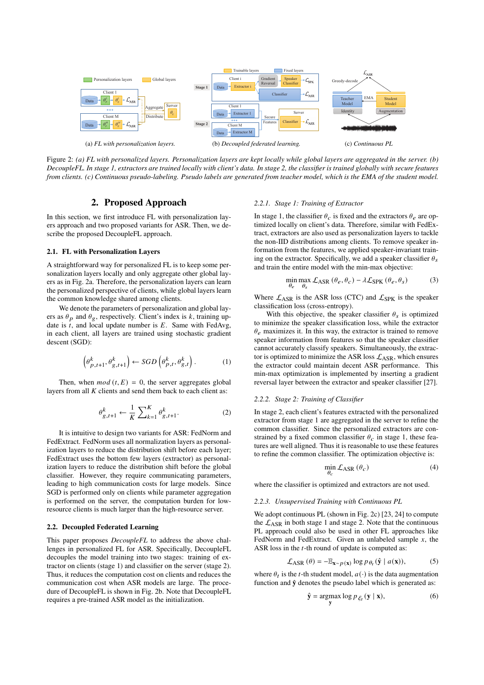<span id="page-1-0"></span>

Figure 2: *(a) FL with personalized layers. Personalization layers are kept locally while global layers are aggregated in the server. (b) DecoupleFL. In stage 1, extractors are trained locally with client's data. In stage 2, the classifier is trained globally with secure features from clients. (c) Continuous pseudo-labeling. Pseudo labels are generated from teacher model, which is the EMA of the student model.*

## 2. Proposed Approach

In this section, we first introduce FL with personalization layers approach and two proposed variants for ASR. Then, we describe the proposed DecoupleFL approach.

#### 2.1. FL with Personalization Layers

A straightforward way for personalized FL is to keep some personalization layers locally and only aggregate other global layers as in [Fig. 2a.](#page-1-0) Therefore, the personalization layers can learn the personalized perspective of clients, while global layers learn the common knowledge shared among clients.

We denote the parameters of personalization and global layers as  $\theta_p$  and  $\theta_g$ , respectively. Client's index is k, training update is  $t$ , and local update number is  $E$ . Same with FedAvg, in each client, all layers are trained using stochastic gradient descent (SGD):

$$
\left(\theta_{p,t+1}^k, \theta_{g,t+1}^k\right) \leftarrow SGD\left(\theta_{p,t}^k, \theta_{g,t}^k\right). \tag{1}
$$

Then, when  $mod(t, E) = 0$ , the server aggregates global layers from all  $K$  clients and send them back to each client as:

$$
\theta_{g,t+1}^k \leftarrow \frac{1}{K} \sum_{k=1}^K \theta_{g,t+1}^k.
$$

It is intuitive to design two variants for ASR: FedNorm and FedExtract. FedNorm uses all normalization layers as personalization layers to reduce the distribution shift before each layer; FedExtract uses the bottom few layers (extractor) as personalization layers to reduce the distribution shift before the global classifier. However, they require communicating parameters, leading to high communication costs for large models. Since SGD is performed only on clients while parameter aggregation is performed on the server, the computation burden for lowresource clients is much larger than the high-resource server.

#### 2.2. Decoupled Federated Learning

This paper proposes *DecoupleFL* to address the above challenges in personalized FL for ASR. Specifically, DecoupleFL decouples the model training into two stages: training of extractor on clients (stage 1) and classifier on the server (stage 2). Thus, it reduces the computation cost on clients and reduces the communication cost when ASR models are large. The procedure of DecoupleFL is shown in [Fig. 2b.](#page-1-1) Note that DecoupleFL requires a pre-trained ASR model as the initialization.

#### <span id="page-1-2"></span><span id="page-1-1"></span>*2.2.1. Stage 1: Training of Extractor*

In stage 1, the classifier  $\theta_c$  is fixed and the extractors  $\theta_e$  are optimized locally on client's data. Therefore, similar with FedExtract, extractors are also used as personalization layers to tackle the non-IID distributions among clients. To remove speaker information from the features, we applied speaker-invariant training on the extractor. Specifically, we add a speaker classifier  $\theta_s$ and train the entire model with the min-max objective:

$$
\min_{\theta_e} \max_{\theta_s} \mathcal{L}_{ASR} (\theta_e, \theta_c) - \lambda \mathcal{L}_{SPK} (\theta_e, \theta_s)
$$
(3)

Where  $\mathcal{L}_{ASR}$  is the ASR loss (CTC) and  $\mathcal{L}_{SPK}$  is the speaker classification loss (cross-entropy).

With this objective, the speaker classifier  $\theta_s$  is optimized to minimize the speaker classification loss, while the extractor  $\theta_e$  maximizes it. In this way, the extractor is trained to remove speaker information from features so that the speaker classifier cannot accurately classify speakers. Simultaneously, the extractor is optimized to minimize the ASR loss  $\mathcal{L}_{ASR}$ , which ensures the extractor could maintain decent ASR performance. This min-max optimization is implemented by inserting a gradient reversal layer between the extractor and speaker classifier [\[27\]](#page-4-26).

#### *2.2.2. Stage 2: Training of Classifier*

In stage 2, each client's features extracted with the personalized extractor from stage 1 are aggregated in the server to refine the common classifier. Since the personalized extractors are constrained by a fixed common classifier  $\theta_c$  in stage 1, these features are well aligned. Thus it is reasonable to use these features to refine the common classifier. The optimization objective is:

$$
\min_{\theta_c} \mathcal{L}_{ASR} \left( \theta_c \right) \tag{4}
$$

where the classifier is optimized and extractors are not used.

#### *2.2.3. Unsupervised Training with Continuous PL*

We adopt continuous PL (shown in [Fig. 2c\)](#page-1-2) [\[23,](#page-4-22) [24\]](#page-4-23) to compute the  $\mathcal{L}_{ASR}$  in both stage 1 and stage 2. Note that the continuous PL approach could also be used in other FL approaches like FedNorm and FedExtract. Given an unlabeled sample  $x$ , the ASR loss in the  $t$ -th round of update is computed as:

$$
\mathcal{L}_{ASR}(\theta) = -\mathbb{E}_{\mathbf{x} \sim p(\mathbf{x})} \log p_{\theta_t}(\hat{\mathbf{y}} \mid a(\mathbf{x})),
$$
 (5)

where  $\theta_t$  is the t-th student model,  $a(\cdot)$  is the data augmentation function and  $\hat{y}$  denotes the pseudo label which is generated as:

$$
\hat{\mathbf{y}} = \underset{\mathbf{y}}{\operatorname{argmax}} \log p_{\xi_t}(\mathbf{y} \mid \mathbf{x}),\tag{6}
$$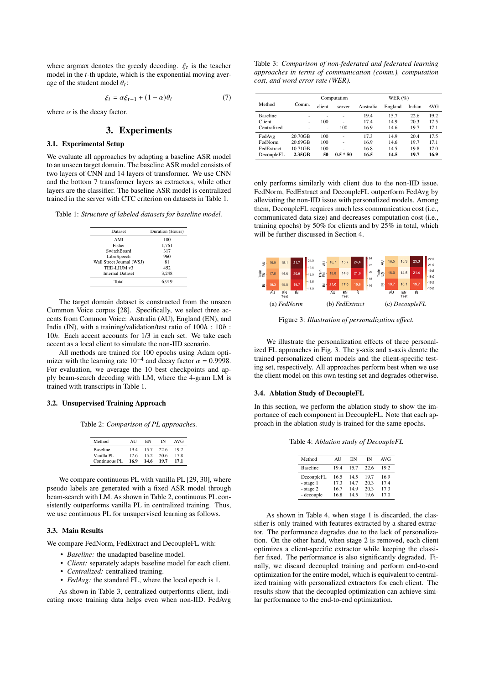where argmax denotes the greedy decoding.  $\xi_t$  is the teacher model in the  $t$ -th update, which is the exponential moving average of the student model  $\theta_t$ :

$$
\xi_t = \alpha \xi_{t-1} + (1 - \alpha)\theta_t \tag{7}
$$

where  $\alpha$  is the decay factor.

# 3. Experiments

#### 3.1. Experimental Setup

We evaluate all approaches by adapting a baseline ASR model to an unseen target domain. The baseline ASR model consists of two layers of CNN and 14 layers of transformer. We use CNN and the bottom 7 transformer layers as extractors, while other layers are the classifier. The baseline ASR model is centralized trained in the server with CTC criterion on datasets in [Table 1.](#page-2-0)

<span id="page-2-0"></span>Table 1: *Structure of labeled datasets for baseline model.*

| Dataset                   | Duration (Hours) |  |  |
|---------------------------|------------------|--|--|
| AMI                       | 100              |  |  |
| Fisher                    | 1.761            |  |  |
| SwitchBoard               | 317              |  |  |
| LibriSpeech               | 960              |  |  |
| Wall Street Journal (WSJ) | 81               |  |  |
| TED-LIUM v3               | 452              |  |  |
| <b>Internal Dataset</b>   | 3.248            |  |  |
| Total                     | 6,919            |  |  |
|                           |                  |  |  |

The target domain dataset is constructed from the unseen Common Voice corpus [\[28\]](#page-4-27). Specifically, we select three accents from Common Voice: Australia (AU), England (EN), and India (IN), with a training/validation/test ratio of  $100h : 10h :$ 10h. Each accent accounts for 1/3 in each set. We take each accent as a local client to simulate the non-IID scenario.

All methods are trained for 100 epochs using Adam opti-<br>mizer with the learning rate  $10^{-4}$  and decay factor  $\alpha = 0.9998$ . For evaluation, we average the 10 best checkpoints and apply beam-search decoding with LM, where the 4-gram LM is trained with transcripts in [Table 1.](#page-2-0)

#### <span id="page-2-1"></span>3.2. Unsupervised Training Approach

Table 2: *Comparison of PL approaches.*

| Method                 | AH           | EN           | īΝ           | AVG         |
|------------------------|--------------|--------------|--------------|-------------|
| Baseline<br>Vanilla PL | 19.4<br>17.6 | 15.7<br>15.2 | 22.6<br>20.6 | 192<br>17.8 |
| Continuous PL          | 16.9         | 14.6         | 19.7         | 17.1        |

We compare continuous PL with vanilla PL [\[29,](#page-4-28) [30\]](#page-4-29), where pseudo labels are generated with a fixed ASR model through beam-search with LM. As shown in [Table 2,](#page-2-1) continuous PL consistently outperforms vanilla PL in centralized training. Thus, we use continuous PL for unsupervised learning as follows.

### 3.3. Main Results

We compare FedNorm, FedExtract and DecoupleFL with:

- *Baseline:* the unadapted baseline model.
- *Client:* separately adapts baseline model for each client.
- *Centralized:* centralized training.
- *FedAvg:* the standard FL, where the local epoch is 1.

As shown in [Table 3,](#page-2-2) centralized outperforms client, indicating more training data helps even when non-IID. FedAvg

<span id="page-2-2"></span>Table 3: *Comparison of non-federated and federated learning approaches in terms of communication (comm.), computation cost, and word error rate (WER).*

|                 |         | Computation |            | WER $(\%)$ |         |        |            |
|-----------------|---------|-------------|------------|------------|---------|--------|------------|
| Method          | Comm.   | client      | server     | Australia  | England | Indian | <b>AVG</b> |
| <b>Baseline</b> | ۰       | ۰           | ٠          | 19.4       | 15.7    | 22.6   | 19.2       |
| Client          | ۰       | 100         | ٠          | 17.4       | 14.9    | 20.3   | 17.5       |
| Centralized     | ۰       | ۰           | 100        | 16.9       | 14.6    | 19.7   | 17.1       |
| FedAvg          | 20.70GB | 100         |            | 17.3       | 14.9    | 20.4   | 17.5       |
| FedNorm         | 20.69GB | 100         |            | 16.9       | 14.6    | 19.7   | 17.1       |
| FedExtract      | 10.71GB | 100         |            | 16.8       | 14.5    | 19.8   | 17.0       |
| DecoupleFL      | 2.35GB  | 50          | $0.5 * 50$ | 16.5       | 14.5    | 19.7   | 16.9       |

only performs similarly with client due to the non-IID issue. FedNorm, FedExtract and DecoupleFL outperform FedAvg by alleviating the non-IID issue with personalized models. Among them, DecoupleFL requires much less communication cost (i.e., communicated data size) and decreases computation cost (i.e., training epochs) by 50% for clients and by 25% in total, which will be further discussed in [Section 4.](#page-3-0)

<span id="page-2-3"></span>

Figure 3: *Illustration of personalization effect.*

We illustrate the personalization effects of three personalized FL approaches in [Fig. 3.](#page-2-3) The y-axis and x-axis denote the trained personalized client models and the client-specific testing set, respectively. All approaches perform best when we use the client model on this own testing set and degrades otherwise.

#### 3.4. Ablation Study of DecoupleFL

<span id="page-2-4"></span>In this section, we perform the ablation study to show the importance of each component in DecoupleFL. Note that each approach in the ablation study is trained for the same epochs.

Table 4: *Ablation study of DecoupleFL*

| Method          | AU   | EN   | IΝ   | <b>AVG</b> |
|-----------------|------|------|------|------------|
| <b>Baseline</b> | 19.4 | 15.7 | 22.6 | 19.2       |
| DecoupleFL      | 16.5 | 14.5 | 19.7 | 16.9       |
| - stage 1       | 17.3 | 147  | 20.3 | 17.4       |
| - stage 2       | 16.7 | 14.9 | 20.3 | 17.3       |
| - decouple      | 16.8 | 14.5 | 19.6 | 170        |

As shown in [Table 4,](#page-2-4) when stage 1 is discarded, the classifier is only trained with features extracted by a shared extractor. The performance degrades due to the lack of personalization. On the other hand, when stage 2 is removed, each client optimizes a client-specific extractor while keeping the classifier fixed. The performance is also significantly degraded. Finally, we discard decoupled training and perform end-to-end optimization for the entire model, which is equivalent to centralized training with personalized extractors for each client. The results show that the decoupled optimization can achieve similar performance to the end-to-end optimization.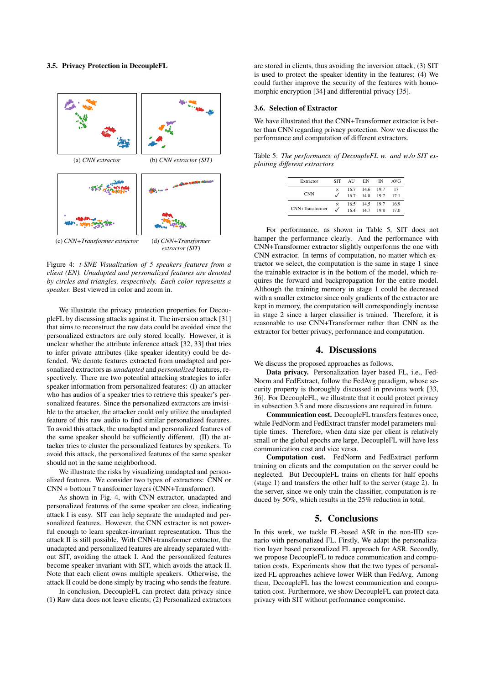## <span id="page-3-3"></span>3.5. Privacy Protection in DecoupleFL

<span id="page-3-1"></span>

Figure 4: *t-SNE Visualization of 5 speakers features from a client (EN). Unadapted and personalized features are denoted by circles and triangles, respectively. Each color represents a speaker.* Best viewed in color and zoom in.

We illustrate the privacy protection properties for DecoupleFL by discussing attacks against it. The inversion attack [\[31\]](#page-4-30) that aims to reconstruct the raw data could be avoided since the personalized extractors are only stored locally. However, it is unclear whether the attribute inference attack [\[32,](#page-4-31) [33\]](#page-4-32) that tries to infer private attributes (like speaker identity) could be defended. We denote features extracted from unadapted and personalized extractors as *unadapted* and *personalized* features, respectively. There are two potential attacking strategies to infer speaker information from personalized features: (I) an attacker who has audios of a speaker tries to retrieve this speaker's personalized features. Since the personalized extractors are invisible to the attacker, the attacker could only utilize the unadapted feature of this raw audio to find similar personalized features. To avoid this attack, the unadapted and personalized features of the same speaker should be sufficiently different. (II) the attacker tries to cluster the personalized features by speakers. To avoid this attack, the personalized features of the same speaker should not in the same neighborhood.

We illustrate the risks by visualizing unadapted and personalized features. We consider two types of extractors: CNN or CNN + bottom 7 transformer layers (CNN+Transformer).

As shown in [Fig. 4,](#page-3-1) with CNN extractor, unadapted and personalized features of the same speaker are close, indicating attack I is easy. SIT can help separate the unadapted and personalized features. However, the CNN extractor is not powerful enough to learn speaker-invariant representation. Thus the attack II is still possible. With CNN+transformer extractor, the unadapted and personalized features are already separated without SIT, avoiding the attack I. And the personalized features become speaker-invariant with SIT, which avoids the attack II. Note that each client owns multiple speakers. Otherwise, the attack II could be done simply by tracing who sends the feature.

In conclusion, DecoupleFL can protect data privacy since (1) Raw data does not leave clients; (2) Personalized extractors are stored in clients, thus avoiding the inversion attack; (3) SIT is used to protect the speaker identity in the features; (4) We could further improve the security of the features with homomorphic encryption [\[34\]](#page-4-33) and differential privacy [\[35\]](#page-4-34).

#### 3.6. Selection of Extractor

We have illustrated that the CNN+Transformer extractor is better than CNN regarding privacy protection. Now we discuss the performance and computation of different extractors.

<span id="page-3-2"></span>Table 5: *The performance of DecoupleFL w. and w./o SIT exploiting different extractors*

| Extractor       | <b>SIT</b> | AU   | EN   | īΝ   | AVG  |
|-----------------|------------|------|------|------|------|
| <b>CNN</b>      | $\times$   | 16.7 | 14.6 | 19.7 | 17   |
|                 |            | 16.7 | 14.8 | 19.7 | 17.1 |
| CNN+Transformer | $\times$   | 16.5 | 14.5 | 19.7 | 16.9 |
|                 |            | 164  | 14.7 | 19.8 | 17.0 |
|                 |            |      |      |      |      |

For performance, as shown in [Table 5,](#page-3-2) SIT does not hamper the performance clearly. And the performance with CNN+Transformer extractor slightly outperforms the one with CNN extractor. In terms of computation, no matter which extractor we select, the computation is the same in stage 1 since the trainable extractor is in the bottom of the model, which requires the forward and backpropagation for the entire model. Although the training memory in stage 1 could be decreased with a smaller extractor since only gradients of the extractor are kept in memory, the computation will correspondingly increase in stage 2 since a larger classifier is trained. Therefore, it is reasonable to use CNN+Transformer rather than CNN as the extractor for better privacy, performance and computation.

## 4. Discussions

<span id="page-3-0"></span>We discuss the proposed approaches as follows.

Data privacy. Personalization layer based FL, i.e., Fed-Norm and FedExtract, follow the FedAvg paradigm, whose security property is thoroughly discussed in previous work [\[33,](#page-4-32) [36\]](#page-4-35). For DecoupleFL, we illustrate that it could protect privacy in [subsection 3.5](#page-3-3) and more discussions are required in future.

Communication cost. DecoupleFL transfers features once, while FedNorm and FedExtract transfer model parameters multiple times. Therefore, when data size per client is relatively small or the global epochs are large, DecoupleFL will have less communication cost and vice versa.

Computation cost. FedNorm and FedExtract perform training on clients and the computation on the server could be neglected. But DecoupleFL trains on clients for half epochs (stage 1) and transfers the other half to the server (stage 2). In the server, since we only train the classifier, computation is reduced by 50%, which results in the 25% reduction in total.

# 5. Conclusions

In this work, we tackle FL-based ASR in the non-IID scenario with personalized FL. Firstly, We adapt the personalization layer based personalized FL approach for ASR. Secondly, we propose DecoupleFL to reduce communication and computation costs. Experiments show that the two types of personalized FL approaches achieve lower WER than FedAvg. Among them, DecoupleFL has the lowest communication and computation cost. Furthermore, we show DecoupleFL can protect data privacy with SIT without performance compromise.